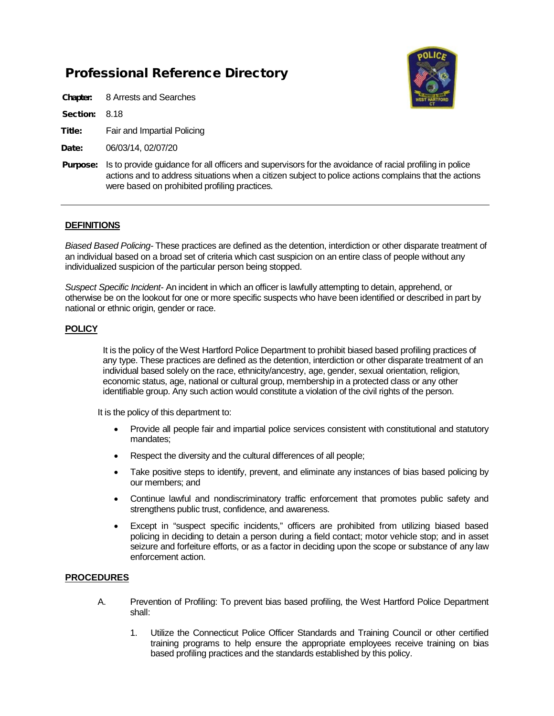# Professional Reference Directory

Chapter: 8 Arrests and Searches

Section: 8.18

- Title: Fair and Impartial Policing
- Date: 06/03/14, 02/07/20
- **Purpose:** Is to provide guidance for all officers and supervisors for the avoidance of racial profiling in police actions and to address situations when a citizen subject to police actions complains that the actions were based on prohibited profiling practices.

## **DEFINITIONS**

*Biased Based Policing-* These practices are defined as the detention, interdiction or other disparate treatment of an individual based on a broad set of criteria which cast suspicion on an entire class of people without any individualized suspicion of the particular person being stopped.

*Suspect Specific Incident-* An incident in which an officer is lawfully attempting to detain, apprehend, or otherwise be on the lookout for one or more specific suspects who have been identified or described in part by national or ethnic origin, gender or race.

## **POLICY**

It is the policy of the West Hartford Police Department to prohibit biased based profiling practices of any type. These practices are defined as the detention, interdiction or other disparate treatment of an individual based solely on the race, ethnicity/ancestry, age, gender, sexual orientation, religion, economic status, age, national or cultural group, membership in a protected class or any other identifiable group. Any such action would constitute a violation of the civil rights of the person.

It is the policy of this department to:

- Provide all people fair and impartial police services consistent with constitutional and statutory mandates;
- Respect the diversity and the cultural differences of all people;
- Take positive steps to identify, prevent, and eliminate any instances of bias based policing by our members; and
- Continue lawful and nondiscriminatory traffic enforcement that promotes public safety and strengthens public trust, confidence, and awareness.
- Except in "suspect specific incidents," officers are prohibited from utilizing biased based policing in deciding to detain a person during a field contact; motor vehicle stop; and in asset seizure and forfeiture efforts, or as a factor in deciding upon the scope or substance of any law enforcement action.

#### **PROCEDURES**

- A. Prevention of Profiling: To prevent bias based profiling, the West Hartford Police Department shall:
	- 1. Utilize the Connecticut Police Officer Standards and Training Council or other certified training programs to help ensure the appropriate employees receive training on bias based profiling practices and the standards established by this policy.

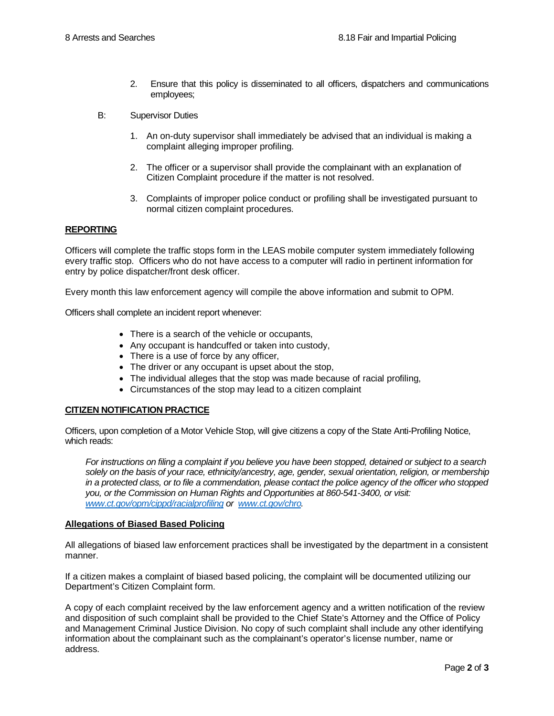- 2. Ensure that this policy is disseminated to all officers, dispatchers and communications employees;
- B: Supervisor Duties
	- 1. An on-duty supervisor shall immediately be advised that an individual is making a complaint alleging improper profiling.
	- 2. The officer or a supervisor shall provide the complainant with an explanation of Citizen Complaint procedure if the matter is not resolved.
	- 3. Complaints of improper police conduct or profiling shall be investigated pursuant to normal citizen complaint procedures.

#### **REPORTING**

Officers will complete the traffic stops form in the LEAS mobile computer system immediately following every traffic stop. Officers who do not have access to a computer will radio in pertinent information for entry by police dispatcher/front desk officer.

Every month this law enforcement agency will compile the above information and submit to OPM.

Officers shall complete an incident report whenever:

- There is a search of the vehicle or occupants,
- Any occupant is handcuffed or taken into custody,
- There is a use of force by any officer,
- The driver or any occupant is upset about the stop,
- The individual alleges that the stop was made because of racial profiling,
- Circumstances of the stop may lead to a citizen complaint

#### **CITIZEN NOTIFICATION PRACTICE**

Officers, upon completion of a Motor Vehicle Stop, will give citizens a copy of the State Anti-Profiling Notice, which reads:

*For instructions on filing a complaint if you believe you have been stopped, detained or subject to a search solely on the basis of your race, ethnicity/ancestry, age, gender, sexual orientation, religion, or membership in a protected class, or to file a commendation, please contact the police agency of the officer who stopped you, or the Commission on Human Rights and Opportunities at 860-541-3400, or visit: [www.ct.gov/opm/cippd/racialprofiling](http://www.ct.gov/opm/cippd/racialprofiling) or [www.ct.gov/chro.](http://www.ct.gov/chro)* 

#### **Allegations of Biased Based Policing**

All allegations of biased law enforcement practices shall be investigated by the department in a consistent manner.

If a citizen makes a complaint of biased based policing, the complaint will be documented utilizing our Department's Citizen Complaint form.

A copy of each complaint received by the law enforcement agency and a written notification of the review and disposition of such complaint shall be provided to the Chief State's Attorney and the Office of Policy and Management Criminal Justice Division. No copy of such complaint shall include any other identifying information about the complainant such as the complainant's operator's license number, name or address.